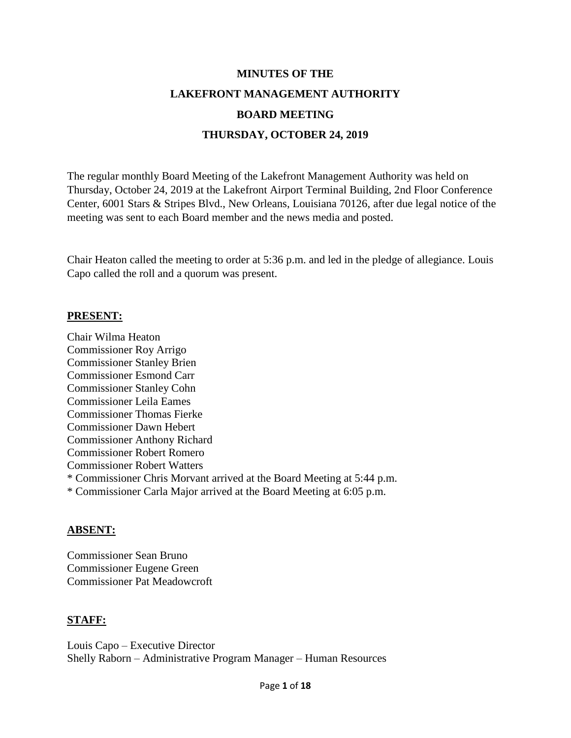# **MINUTES OF THE LAKEFRONT MANAGEMENT AUTHORITY BOARD MEETING THURSDAY, OCTOBER 24, 2019**

The regular monthly Board Meeting of the Lakefront Management Authority was held on Thursday, October 24, 2019 at the Lakefront Airport Terminal Building, 2nd Floor Conference Center, 6001 Stars & Stripes Blvd., New Orleans, Louisiana 70126, after due legal notice of the meeting was sent to each Board member and the news media and posted.

Chair Heaton called the meeting to order at 5:36 p.m. and led in the pledge of allegiance. Louis Capo called the roll and a quorum was present.

## **PRESENT:**

Chair Wilma Heaton Commissioner Roy Arrigo Commissioner Stanley Brien Commissioner Esmond Carr Commissioner Stanley Cohn Commissioner Leila Eames Commissioner Thomas Fierke Commissioner Dawn Hebert Commissioner Anthony Richard Commissioner Robert Romero Commissioner Robert Watters \* Commissioner Chris Morvant arrived at the Board Meeting at 5:44 p.m. \* Commissioner Carla Major arrived at the Board Meeting at 6:05 p.m.

## **ABSENT:**

Commissioner Sean Bruno Commissioner Eugene Green Commissioner Pat Meadowcroft

# **STAFF:**

Louis Capo – Executive Director Shelly Raborn – Administrative Program Manager – Human Resources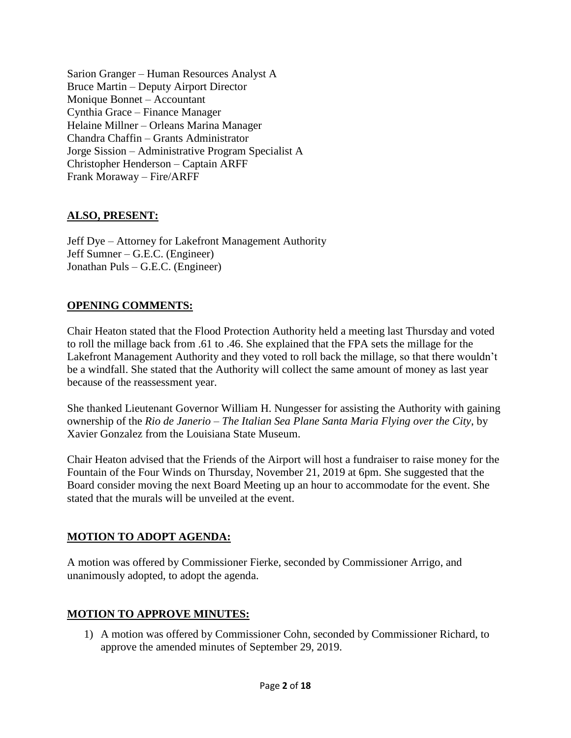Sarion Granger – Human Resources Analyst A Bruce Martin – Deputy Airport Director Monique Bonnet – Accountant Cynthia Grace – Finance Manager Helaine Millner – Orleans Marina Manager Chandra Chaffin – Grants Administrator Jorge Sission – Administrative Program Specialist A Christopher Henderson – Captain ARFF Frank Moraway – Fire/ARFF

# **ALSO, PRESENT:**

Jeff Dye – Attorney for Lakefront Management Authority Jeff Sumner – G.E.C. (Engineer) Jonathan Puls – G.E.C. (Engineer)

# **OPENING COMMENTS:**

Chair Heaton stated that the Flood Protection Authority held a meeting last Thursday and voted to roll the millage back from .61 to .46. She explained that the FPA sets the millage for the Lakefront Management Authority and they voted to roll back the millage, so that there wouldn't be a windfall. She stated that the Authority will collect the same amount of money as last year because of the reassessment year.

She thanked Lieutenant Governor William H. Nungesser for assisting the Authority with gaining ownership of the *Rio de Janerio – The Italian Sea Plane Santa Maria Flying over the City*, by Xavier Gonzalez from the Louisiana State Museum.

Chair Heaton advised that the Friends of the Airport will host a fundraiser to raise money for the Fountain of the Four Winds on Thursday, November 21, 2019 at 6pm. She suggested that the Board consider moving the next Board Meeting up an hour to accommodate for the event. She stated that the murals will be unveiled at the event.

# **MOTION TO ADOPT AGENDA:**

A motion was offered by Commissioner Fierke, seconded by Commissioner Arrigo, and unanimously adopted, to adopt the agenda.

# **MOTION TO APPROVE MINUTES:**

1) A motion was offered by Commissioner Cohn, seconded by Commissioner Richard, to approve the amended minutes of September 29, 2019.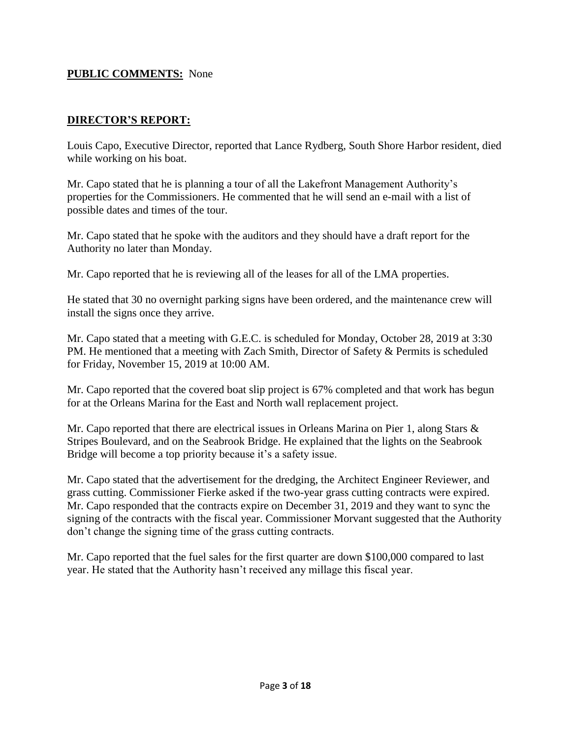## **PUBLIC COMMENTS:** None

# **DIRECTOR'S REPORT:**

Louis Capo, Executive Director, reported that Lance Rydberg, South Shore Harbor resident, died while working on his boat.

Mr. Capo stated that he is planning a tour of all the Lakefront Management Authority's properties for the Commissioners. He commented that he will send an e-mail with a list of possible dates and times of the tour.

Mr. Capo stated that he spoke with the auditors and they should have a draft report for the Authority no later than Monday.

Mr. Capo reported that he is reviewing all of the leases for all of the LMA properties.

He stated that 30 no overnight parking signs have been ordered, and the maintenance crew will install the signs once they arrive.

Mr. Capo stated that a meeting with G.E.C. is scheduled for Monday, October 28, 2019 at 3:30 PM. He mentioned that a meeting with Zach Smith, Director of Safety & Permits is scheduled for Friday, November 15, 2019 at 10:00 AM.

Mr. Capo reported that the covered boat slip project is 67% completed and that work has begun for at the Orleans Marina for the East and North wall replacement project.

Mr. Capo reported that there are electrical issues in Orleans Marina on Pier 1, along Stars  $\&$ Stripes Boulevard, and on the Seabrook Bridge. He explained that the lights on the Seabrook Bridge will become a top priority because it's a safety issue.

Mr. Capo stated that the advertisement for the dredging, the Architect Engineer Reviewer, and grass cutting. Commissioner Fierke asked if the two-year grass cutting contracts were expired. Mr. Capo responded that the contracts expire on December 31, 2019 and they want to sync the signing of the contracts with the fiscal year. Commissioner Morvant suggested that the Authority don't change the signing time of the grass cutting contracts.

Mr. Capo reported that the fuel sales for the first quarter are down \$100,000 compared to last year. He stated that the Authority hasn't received any millage this fiscal year.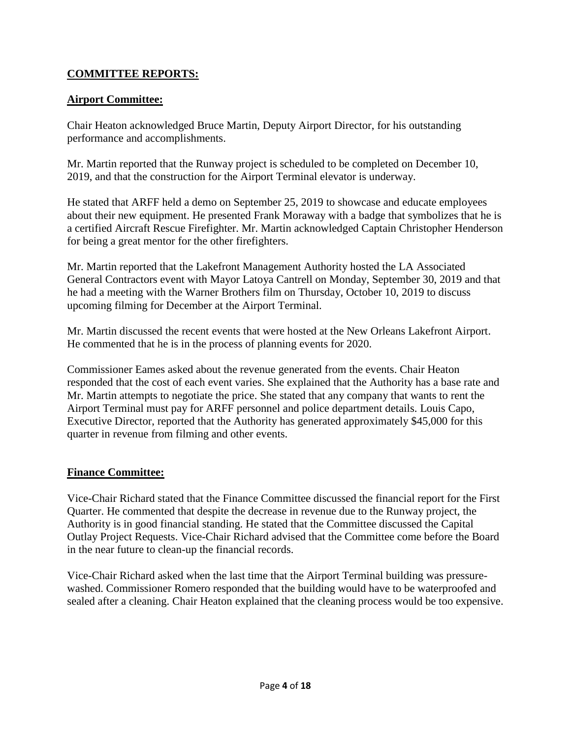# **COMMITTEE REPORTS:**

# **Airport Committee:**

Chair Heaton acknowledged Bruce Martin, Deputy Airport Director, for his outstanding performance and accomplishments.

Mr. Martin reported that the Runway project is scheduled to be completed on December 10, 2019, and that the construction for the Airport Terminal elevator is underway.

He stated that ARFF held a demo on September 25, 2019 to showcase and educate employees about their new equipment. He presented Frank Moraway with a badge that symbolizes that he is a certified Aircraft Rescue Firefighter. Mr. Martin acknowledged Captain Christopher Henderson for being a great mentor for the other firefighters.

Mr. Martin reported that the Lakefront Management Authority hosted the LA Associated General Contractors event with Mayor Latoya Cantrell on Monday, September 30, 2019 and that he had a meeting with the Warner Brothers film on Thursday, October 10, 2019 to discuss upcoming filming for December at the Airport Terminal.

Mr. Martin discussed the recent events that were hosted at the New Orleans Lakefront Airport. He commented that he is in the process of planning events for 2020.

Commissioner Eames asked about the revenue generated from the events. Chair Heaton responded that the cost of each event varies. She explained that the Authority has a base rate and Mr. Martin attempts to negotiate the price. She stated that any company that wants to rent the Airport Terminal must pay for ARFF personnel and police department details. Louis Capo, Executive Director, reported that the Authority has generated approximately \$45,000 for this quarter in revenue from filming and other events.

## **Finance Committee:**

Vice-Chair Richard stated that the Finance Committee discussed the financial report for the First Quarter. He commented that despite the decrease in revenue due to the Runway project, the Authority is in good financial standing. He stated that the Committee discussed the Capital Outlay Project Requests. Vice-Chair Richard advised that the Committee come before the Board in the near future to clean-up the financial records.

Vice-Chair Richard asked when the last time that the Airport Terminal building was pressurewashed. Commissioner Romero responded that the building would have to be waterproofed and sealed after a cleaning. Chair Heaton explained that the cleaning process would be too expensive.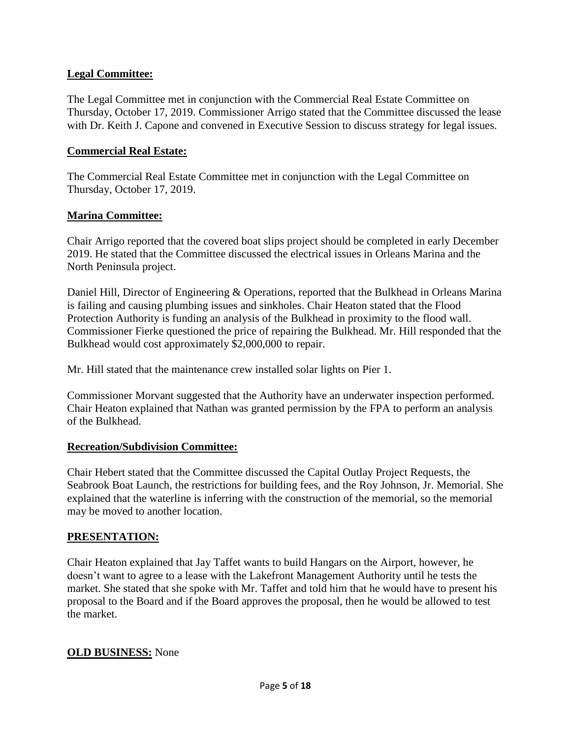# **Legal Committee:**

The Legal Committee met in conjunction with the Commercial Real Estate Committee on Thursday, October 17, 2019. Commissioner Arrigo stated that the Committee discussed the lease with Dr. Keith J. Capone and convened in Executive Session to discuss strategy for legal issues.

# **Commercial Real Estate:**

The Commercial Real Estate Committee met in conjunction with the Legal Committee on Thursday, October 17, 2019.

# **Marina Committee:**

Chair Arrigo reported that the covered boat slips project should be completed in early December 2019. He stated that the Committee discussed the electrical issues in Orleans Marina and the North Peninsula project.

Daniel Hill, Director of Engineering & Operations, reported that the Bulkhead in Orleans Marina is failing and causing plumbing issues and sinkholes. Chair Heaton stated that the Flood Protection Authority is funding an analysis of the Bulkhead in proximity to the flood wall. Commissioner Fierke questioned the price of repairing the Bulkhead. Mr. Hill responded that the Bulkhead would cost approximately \$2,000,000 to repair.

Mr. Hill stated that the maintenance crew installed solar lights on Pier 1.

Commissioner Morvant suggested that the Authority have an underwater inspection performed. Chair Heaton explained that Nathan was granted permission by the FPA to perform an analysis of the Bulkhead.

## **Recreation/Subdivision Committee:**

Chair Hebert stated that the Committee discussed the Capital Outlay Project Requests, the Seabrook Boat Launch, the restrictions for building fees, and the Roy Johnson, Jr. Memorial. She explained that the waterline is inferring with the construction of the memorial, so the memorial may be moved to another location.

# **PRESENTATION:**

Chair Heaton explained that Jay Taffet wants to build Hangars on the Airport, however, he doesn't want to agree to a lease with the Lakefront Management Authority until he tests the market. She stated that she spoke with Mr. Taffet and told him that he would have to present his proposal to the Board and if the Board approves the proposal, then he would be allowed to test the market.

## **OLD BUSINESS:** None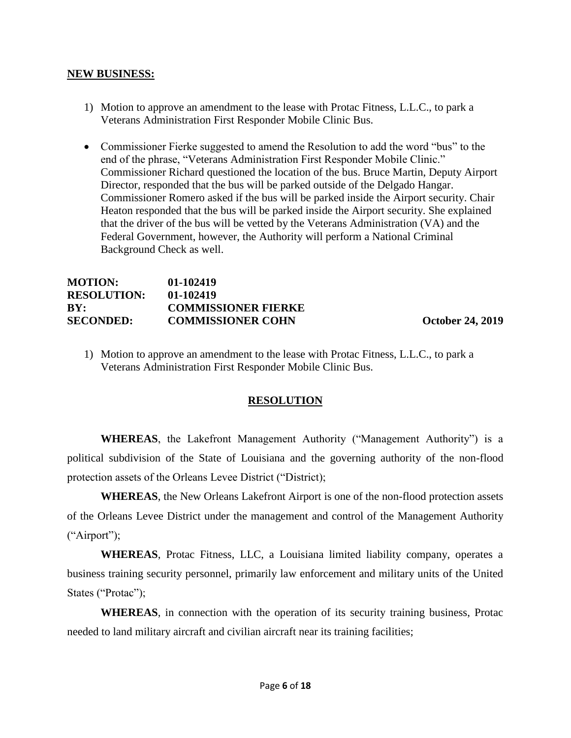#### **NEW BUSINESS:**

- 1) Motion to approve an amendment to the lease with Protac Fitness, L.L.C., to park a Veterans Administration First Responder Mobile Clinic Bus.
- Commissioner Fierke suggested to amend the Resolution to add the word "bus" to the end of the phrase, "Veterans Administration First Responder Mobile Clinic." Commissioner Richard questioned the location of the bus. Bruce Martin, Deputy Airport Director, responded that the bus will be parked outside of the Delgado Hangar. Commissioner Romero asked if the bus will be parked inside the Airport security. Chair Heaton responded that the bus will be parked inside the Airport security. She explained that the driver of the bus will be vetted by the Veterans Administration (VA) and the Federal Government, however, the Authority will perform a National Criminal Background Check as well.

# **MOTION: 01-102419 RESOLUTION: 01-102419 BY: COMMISSIONER FIERKE SECONDED: COMMISSIONER COHN October 24, 2019**

1) Motion to approve an amendment to the lease with Protac Fitness, L.L.C., to park a Veterans Administration First Responder Mobile Clinic Bus.

# **RESOLUTION**

**WHEREAS**, the Lakefront Management Authority ("Management Authority") is a political subdivision of the State of Louisiana and the governing authority of the non-flood protection assets of the Orleans Levee District ("District);

**WHEREAS**, the New Orleans Lakefront Airport is one of the non-flood protection assets of the Orleans Levee District under the management and control of the Management Authority ("Airport");

**WHEREAS**, Protac Fitness, LLC, a Louisiana limited liability company, operates a business training security personnel, primarily law enforcement and military units of the United States ("Protac");

**WHEREAS**, in connection with the operation of its security training business, Protac needed to land military aircraft and civilian aircraft near its training facilities;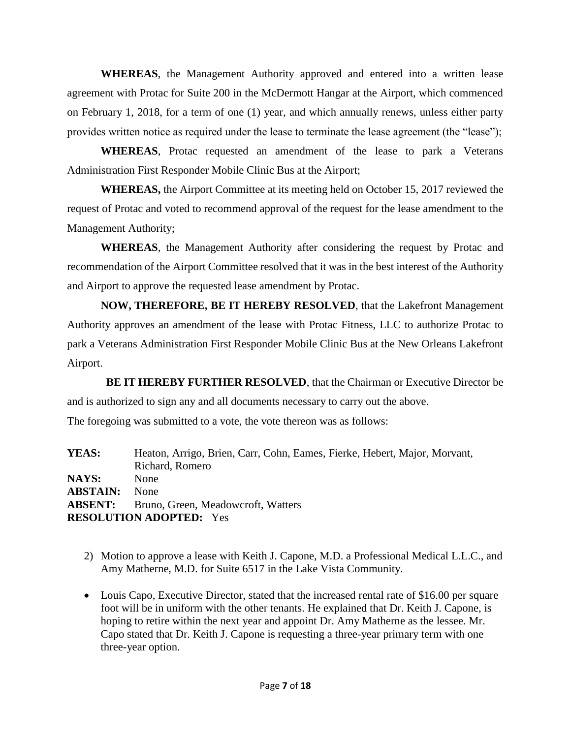**WHEREAS**, the Management Authority approved and entered into a written lease agreement with Protac for Suite 200 in the McDermott Hangar at the Airport, which commenced on February 1, 2018, for a term of one (1) year, and which annually renews, unless either party provides written notice as required under the lease to terminate the lease agreement (the "lease");

**WHEREAS**, Protac requested an amendment of the lease to park a Veterans Administration First Responder Mobile Clinic Bus at the Airport;

 **WHEREAS,** the Airport Committee at its meeting held on October 15, 2017 reviewed the request of Protac and voted to recommend approval of the request for the lease amendment to the Management Authority;

**WHEREAS**, the Management Authority after considering the request by Protac and recommendation of the Airport Committee resolved that it was in the best interest of the Authority and Airport to approve the requested lease amendment by Protac.

**NOW, THEREFORE, BE IT HEREBY RESOLVED**, that the Lakefront Management Authority approves an amendment of the lease with Protac Fitness, LLC to authorize Protac to park a Veterans Administration First Responder Mobile Clinic Bus at the New Orleans Lakefront Airport.

 **BE IT HEREBY FURTHER RESOLVED**, that the Chairman or Executive Director be and is authorized to sign any and all documents necessary to carry out the above.

The foregoing was submitted to a vote, the vote thereon was as follows:

**YEAS:** Heaton, Arrigo, Brien, Carr, Cohn, Eames, Fierke, Hebert, Major, Morvant, Richard, Romero **NAYS:** None **ABSTAIN:** None **ABSENT:** Bruno, Green, Meadowcroft, Watters **RESOLUTION ADOPTED:** Yes

- 2) Motion to approve a lease with Keith J. Capone, M.D. a Professional Medical L.L.C., and Amy Matherne, M.D. for Suite 6517 in the Lake Vista Community.
- Louis Capo, Executive Director, stated that the increased rental rate of \$16.00 per square foot will be in uniform with the other tenants. He explained that Dr. Keith J. Capone, is hoping to retire within the next year and appoint Dr. Amy Matherne as the lessee. Mr. Capo stated that Dr. Keith J. Capone is requesting a three-year primary term with one three-year option.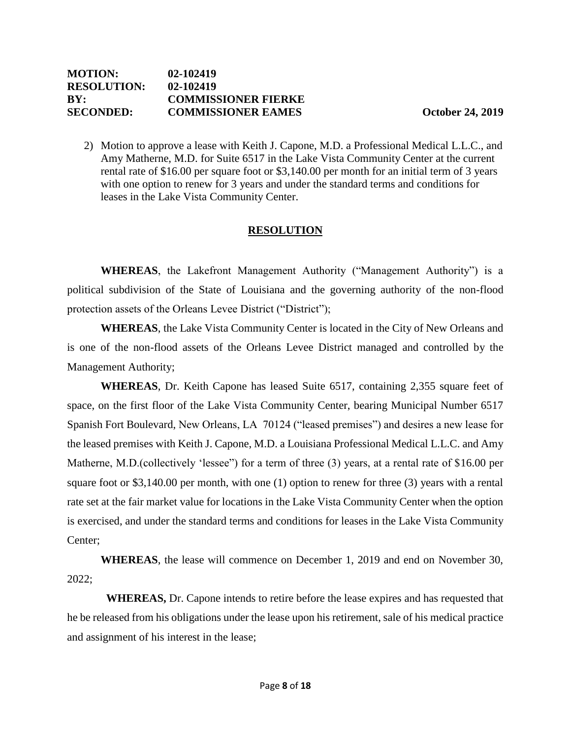2) Motion to approve a lease with Keith J. Capone, M.D. a Professional Medical L.L.C., and Amy Matherne, M.D. for Suite 6517 in the Lake Vista Community Center at the current rental rate of \$16.00 per square foot or \$3,140.00 per month for an initial term of 3 years with one option to renew for 3 years and under the standard terms and conditions for leases in the Lake Vista Community Center.

## **RESOLUTION**

**WHEREAS**, the Lakefront Management Authority ("Management Authority") is a political subdivision of the State of Louisiana and the governing authority of the non-flood protection assets of the Orleans Levee District ("District");

**WHEREAS**, the Lake Vista Community Center is located in the City of New Orleans and is one of the non-flood assets of the Orleans Levee District managed and controlled by the Management Authority;

**WHEREAS**, Dr. Keith Capone has leased Suite 6517, containing 2,355 square feet of space, on the first floor of the Lake Vista Community Center, bearing Municipal Number 6517 Spanish Fort Boulevard, New Orleans, LA 70124 ("leased premises") and desires a new lease for the leased premises with Keith J. Capone, M.D. a Louisiana Professional Medical L.L.C. and Amy Matherne, M.D. (collectively 'lessee'') for a term of three (3) years, at a rental rate of \$16.00 per square foot or \$3,140.00 per month, with one (1) option to renew for three (3) years with a rental rate set at the fair market value for locations in the Lake Vista Community Center when the option is exercised, and under the standard terms and conditions for leases in the Lake Vista Community Center;

**WHEREAS**, the lease will commence on December 1, 2019 and end on November 30, 2022;

 **WHEREAS,** Dr. Capone intends to retire before the lease expires and has requested that he be released from his obligations under the lease upon his retirement, sale of his medical practice and assignment of his interest in the lease;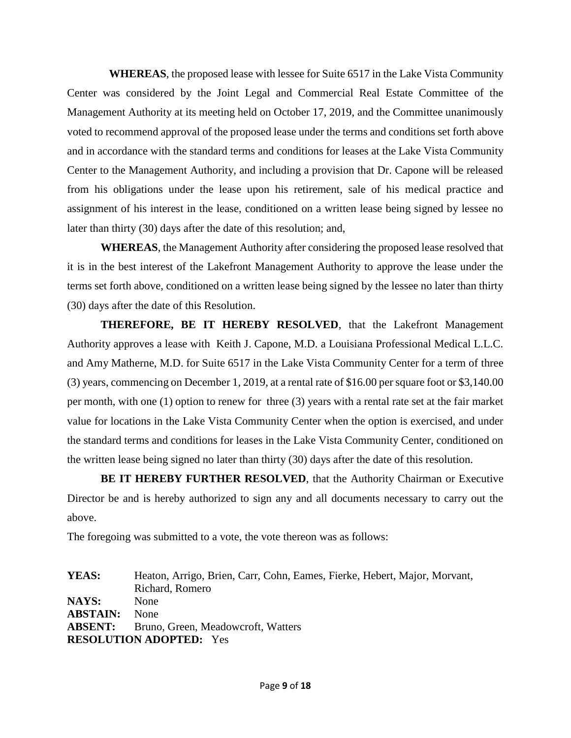**WHEREAS**, the proposed lease with lessee for Suite 6517 in the Lake Vista Community Center was considered by the Joint Legal and Commercial Real Estate Committee of the Management Authority at its meeting held on October 17, 2019, and the Committee unanimously voted to recommend approval of the proposed lease under the terms and conditions set forth above and in accordance with the standard terms and conditions for leases at the Lake Vista Community Center to the Management Authority, and including a provision that Dr. Capone will be released from his obligations under the lease upon his retirement, sale of his medical practice and assignment of his interest in the lease, conditioned on a written lease being signed by lessee no later than thirty (30) days after the date of this resolution; and,

**WHEREAS**, the Management Authority after considering the proposed lease resolved that it is in the best interest of the Lakefront Management Authority to approve the lease under the terms set forth above, conditioned on a written lease being signed by the lessee no later than thirty (30) days after the date of this Resolution.

**THEREFORE, BE IT HEREBY RESOLVED**, that the Lakefront Management Authority approves a lease with Keith J. Capone, M.D. a Louisiana Professional Medical L.L.C. and Amy Matherne, M.D. for Suite 6517 in the Lake Vista Community Center for a term of three (3) years, commencing on December 1, 2019, at a rental rate of \$16.00 per square foot or \$3,140.00 per month, with one (1) option to renew for three (3) years with a rental rate set at the fair market value for locations in the Lake Vista Community Center when the option is exercised, and under the standard terms and conditions for leases in the Lake Vista Community Center, conditioned on the written lease being signed no later than thirty (30) days after the date of this resolution.

**BE IT HEREBY FURTHER RESOLVED**, that the Authority Chairman or Executive Director be and is hereby authorized to sign any and all documents necessary to carry out the above.

The foregoing was submitted to a vote, the vote thereon was as follows:

**YEAS:** Heaton, Arrigo, Brien, Carr, Cohn, Eames, Fierke, Hebert, Major, Morvant, Richard, Romero **NAYS:** None **ABSTAIN:** None **ABSENT:** Bruno, Green, Meadowcroft, Watters **RESOLUTION ADOPTED:** Yes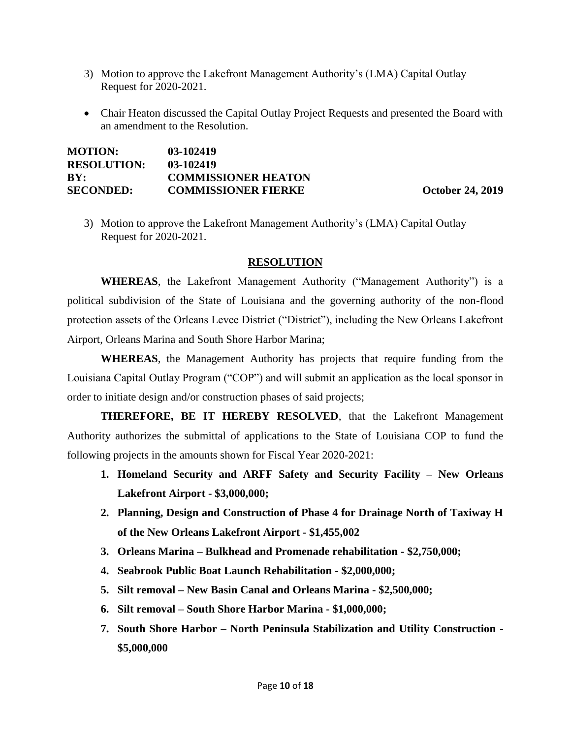- 3) Motion to approve the Lakefront Management Authority's (LMA) Capital Outlay Request for 2020-2021.
- Chair Heaton discussed the Capital Outlay Project Requests and presented the Board with an amendment to the Resolution.

| <b>MOTION:</b>     | 03-102419                  |
|--------------------|----------------------------|
| <b>RESOLUTION:</b> | 03-102419                  |
| BY:                | <b>COMMISSIONER HEATON</b> |
| SECONDED:          | <b>COMMISSIONER FIERKE</b> |

**October 24, 2019** 

3) Motion to approve the Lakefront Management Authority's (LMA) Capital Outlay Request for 2020-2021.

#### **RESOLUTION**

**WHEREAS**, the Lakefront Management Authority ("Management Authority") is a political subdivision of the State of Louisiana and the governing authority of the non-flood protection assets of the Orleans Levee District ("District"), including the New Orleans Lakefront Airport, Orleans Marina and South Shore Harbor Marina;

**WHEREAS**, the Management Authority has projects that require funding from the Louisiana Capital Outlay Program ("COP") and will submit an application as the local sponsor in order to initiate design and/or construction phases of said projects;

**THEREFORE, BE IT HEREBY RESOLVED**, that the Lakefront Management Authority authorizes the submittal of applications to the State of Louisiana COP to fund the following projects in the amounts shown for Fiscal Year 2020-2021:

- **1. Homeland Security and ARFF Safety and Security Facility – New Orleans Lakefront Airport - \$3,000,000;**
- **2. Planning, Design and Construction of Phase 4 for Drainage North of Taxiway H of the New Orleans Lakefront Airport - \$1,455,002**
- **3. Orleans Marina – Bulkhead and Promenade rehabilitation - \$2,750,000;**
- **4. Seabrook Public Boat Launch Rehabilitation - \$2,000,000;**
- **5. Silt removal – New Basin Canal and Orleans Marina - \$2,500,000;**
- **6. Silt removal – South Shore Harbor Marina - \$1,000,000;**
- **7. South Shore Harbor – North Peninsula Stabilization and Utility Construction - \$5,000,000**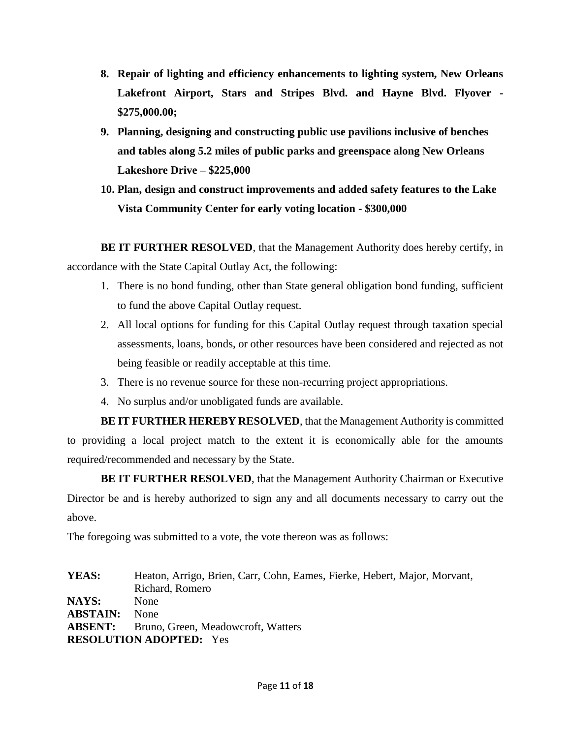- **8. Repair of lighting and efficiency enhancements to lighting system, New Orleans Lakefront Airport, Stars and Stripes Blvd. and Hayne Blvd. Flyover - \$275,000.00;**
- **9. Planning, designing and constructing public use pavilions inclusive of benches and tables along 5.2 miles of public parks and greenspace along New Orleans Lakeshore Drive – \$225,000**
- **10. Plan, design and construct improvements and added safety features to the Lake Vista Community Center for early voting location - \$300,000**

**BE IT FURTHER RESOLVED**, that the Management Authority does hereby certify, in accordance with the State Capital Outlay Act, the following:

- 1. There is no bond funding, other than State general obligation bond funding, sufficient to fund the above Capital Outlay request.
- 2. All local options for funding for this Capital Outlay request through taxation special assessments, loans, bonds, or other resources have been considered and rejected as not being feasible or readily acceptable at this time.
- 3. There is no revenue source for these non-recurring project appropriations.
- 4. No surplus and/or unobligated funds are available.

**BE IT FURTHER HEREBY RESOLVED**, that the Management Authority is committed to providing a local project match to the extent it is economically able for the amounts required/recommended and necessary by the State.

**BE IT FURTHER RESOLVED**, that the Management Authority Chairman or Executive Director be and is hereby authorized to sign any and all documents necessary to carry out the above.

The foregoing was submitted to a vote, the vote thereon was as follows:

**YEAS:** Heaton, Arrigo, Brien, Carr, Cohn, Eames, Fierke, Hebert, Major, Morvant, Richard, Romero **NAYS:** None **ABSTAIN:** None **ABSENT:** Bruno, Green, Meadowcroft, Watters **RESOLUTION ADOPTED:** Yes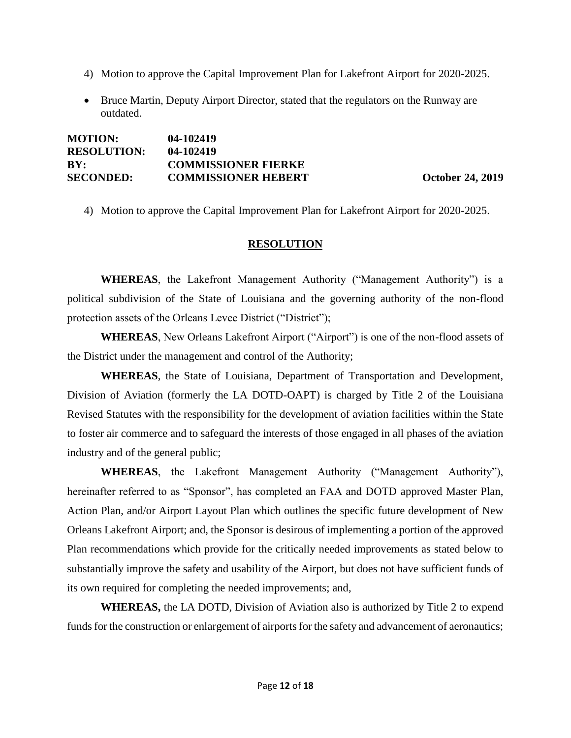- 4) Motion to approve the Capital Improvement Plan for Lakefront Airport for 2020-2025.
- Bruce Martin, Deputy Airport Director, stated that the regulators on the Runway are outdated.

| <b>MOTION:</b>     | 04-102419                  |
|--------------------|----------------------------|
| <b>RESOLUTION:</b> | 04-102419                  |
| BY:                | <b>COMMISSIONER FIERKE</b> |
| <b>SECONDED:</b>   | <b>COMMISSIONER HEBERT</b> |

**October 24, 2019** 

4) Motion to approve the Capital Improvement Plan for Lakefront Airport for 2020-2025.

#### **RESOLUTION**

**WHEREAS**, the Lakefront Management Authority ("Management Authority") is a political subdivision of the State of Louisiana and the governing authority of the non-flood protection assets of the Orleans Levee District ("District");

**WHEREAS**, New Orleans Lakefront Airport ("Airport") is one of the non-flood assets of the District under the management and control of the Authority;

 **WHEREAS**, the State of Louisiana, Department of Transportation and Development, Division of Aviation (formerly the LA DOTD-OAPT) is charged by Title 2 of the Louisiana Revised Statutes with the responsibility for the development of aviation facilities within the State to foster air commerce and to safeguard the interests of those engaged in all phases of the aviation industry and of the general public;

**WHEREAS**, the Lakefront Management Authority ("Management Authority"), hereinafter referred to as "Sponsor", has completed an FAA and DOTD approved Master Plan, Action Plan, and/or Airport Layout Plan which outlines the specific future development of New Orleans Lakefront Airport; and, the Sponsor is desirous of implementing a portion of the approved Plan recommendations which provide for the critically needed improvements as stated below to substantially improve the safety and usability of the Airport, but does not have sufficient funds of its own required for completing the needed improvements; and,

**WHEREAS,** the LA DOTD, Division of Aviation also is authorized by Title 2 to expend funds for the construction or enlargement of airports for the safety and advancement of aeronautics;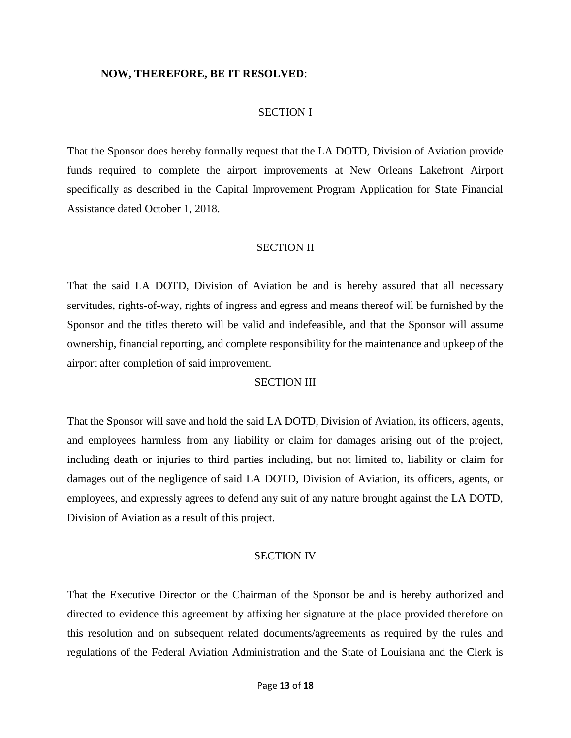#### **NOW, THEREFORE, BE IT RESOLVED**:

#### SECTION I

That the Sponsor does hereby formally request that the LA DOTD, Division of Aviation provide funds required to complete the airport improvements at New Orleans Lakefront Airport specifically as described in the Capital Improvement Program Application for State Financial Assistance dated October 1, 2018.

#### SECTION II

That the said LA DOTD, Division of Aviation be and is hereby assured that all necessary servitudes, rights-of-way, rights of ingress and egress and means thereof will be furnished by the Sponsor and the titles thereto will be valid and indefeasible, and that the Sponsor will assume ownership, financial reporting, and complete responsibility for the maintenance and upkeep of the airport after completion of said improvement.

#### SECTION III

That the Sponsor will save and hold the said LA DOTD, Division of Aviation, its officers, agents, and employees harmless from any liability or claim for damages arising out of the project, including death or injuries to third parties including, but not limited to, liability or claim for damages out of the negligence of said LA DOTD, Division of Aviation, its officers, agents, or employees, and expressly agrees to defend any suit of any nature brought against the LA DOTD, Division of Aviation as a result of this project.

#### SECTION IV

That the Executive Director or the Chairman of the Sponsor be and is hereby authorized and directed to evidence this agreement by affixing her signature at the place provided therefore on this resolution and on subsequent related documents/agreements as required by the rules and regulations of the Federal Aviation Administration and the State of Louisiana and the Clerk is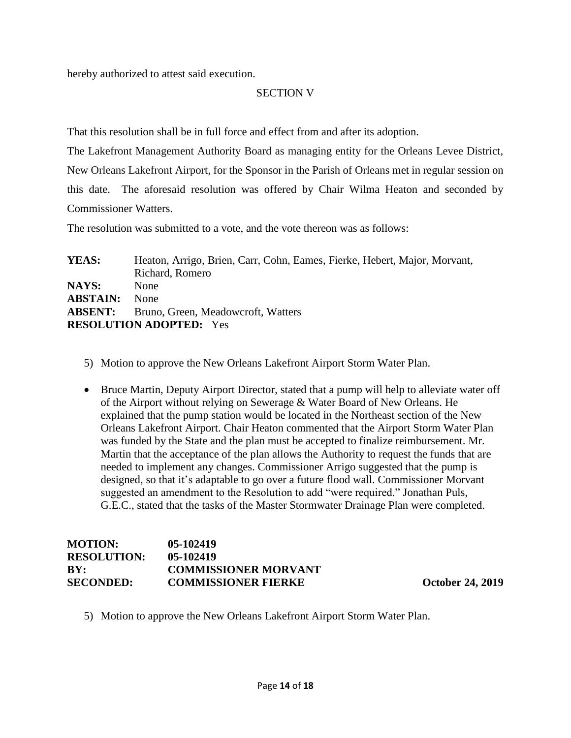hereby authorized to attest said execution.

#### SECTION V

That this resolution shall be in full force and effect from and after its adoption.

The Lakefront Management Authority Board as managing entity for the Orleans Levee District, New Orleans Lakefront Airport, for the Sponsor in the Parish of Orleans met in regular session on this date. The aforesaid resolution was offered by Chair Wilma Heaton and seconded by Commissioner Watters.

The resolution was submitted to a vote, and the vote thereon was as follows:

**YEAS:** Heaton, Arrigo, Brien, Carr, Cohn, Eames, Fierke, Hebert, Major, Morvant, Richard, Romero **NAYS:** None **ABSTAIN:** None **ABSENT:** Bruno, Green, Meadowcroft, Watters **RESOLUTION ADOPTED:** Yes

- 5) Motion to approve the New Orleans Lakefront Airport Storm Water Plan.
- Bruce Martin, Deputy Airport Director, stated that a pump will help to alleviate water off of the Airport without relying on Sewerage & Water Board of New Orleans. He explained that the pump station would be located in the Northeast section of the New Orleans Lakefront Airport. Chair Heaton commented that the Airport Storm Water Plan was funded by the State and the plan must be accepted to finalize reimbursement. Mr. Martin that the acceptance of the plan allows the Authority to request the funds that are needed to implement any changes. Commissioner Arrigo suggested that the pump is designed, so that it's adaptable to go over a future flood wall. Commissioner Morvant suggested an amendment to the Resolution to add "were required." Jonathan Puls, G.E.C., stated that the tasks of the Master Stormwater Drainage Plan were completed.

#### **MOTION: 05-102419 RESOLUTION: 05-102419 BY: COMMISSIONER MORVANT SECONDED: COMMISSIONER FIERKE October 24, 2019**

5) Motion to approve the New Orleans Lakefront Airport Storm Water Plan.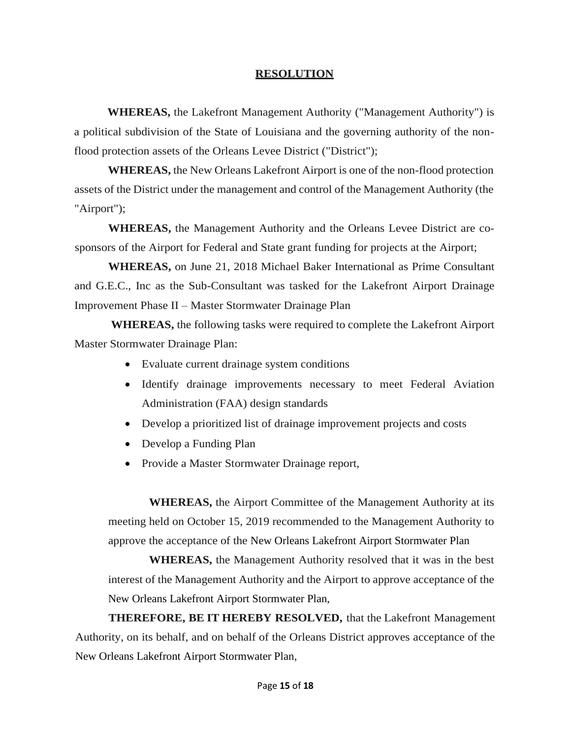#### **RESOLUTION**

**WHEREAS,** the Lakefront Management Authority ("Management Authority") is a political subdivision of the State of Louisiana and the governing authority of the nonflood protection assets of the Orleans Levee District ("District");

**WHEREAS,** the New Orleans Lakefront Airport is one of the non-flood protection assets of the District under the management and control of the Management Authority (the "Airport");

**WHEREAS,** the Management Authority and the Orleans Levee District are cosponsors of the Airport for Federal and State grant funding for projects at the Airport;

**WHEREAS,** on June 21, 2018 Michael Baker International as Prime Consultant and G.E.C., Inc as the Sub-Consultant was tasked for the Lakefront Airport Drainage Improvement Phase II – Master Stormwater Drainage Plan

**WHEREAS,** the following tasks were required to complete the Lakefront Airport Master Stormwater Drainage Plan:

- Evaluate current drainage system conditions
- Identify drainage improvements necessary to meet Federal Aviation Administration (FAA) design standards
- Develop a prioritized list of drainage improvement projects and costs
- Develop a Funding Plan
- Provide a Master Stormwater Drainage report,

 **WHEREAS,** the Airport Committee of the Management Authority at its meeting held on October 15, 2019 recommended to the Management Authority to approve the acceptance of the New Orleans Lakefront Airport Stormwater Plan

 **WHEREAS,** the Management Authority resolved that it was in the best interest of the Management Authority and the Airport to approve acceptance of the New Orleans Lakefront Airport Stormwater Plan,

**THEREFORE, BE IT HEREBY RESOLVED,** that the Lakefront Management Authority, on its behalf, and on behalf of the Orleans District approves acceptance of the New Orleans Lakefront Airport Stormwater Plan,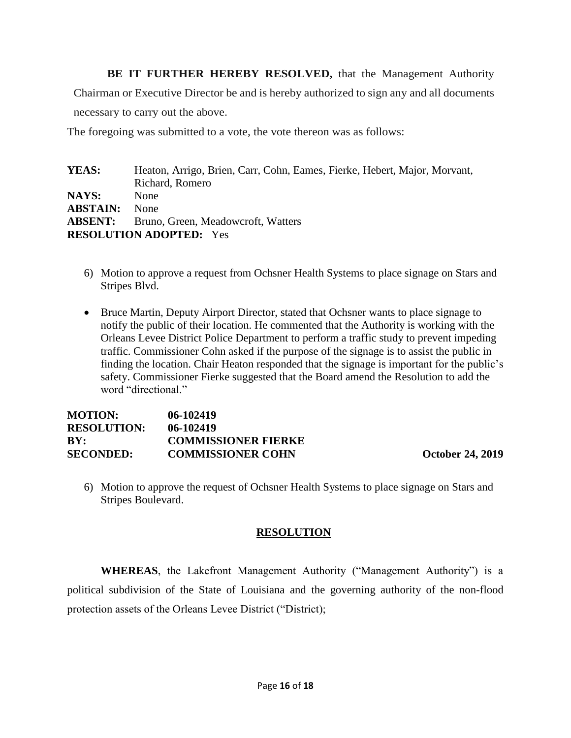BE IT FURTHER HEREBY RESOLVED, that the Management Authority

Chairman or Executive Director be and is hereby authorized to sign any and all documents

necessary to carry out the above.

The foregoing was submitted to a vote, the vote thereon was as follows:

| Heaton, Arrigo, Brien, Carr, Cohn, Eames, Fierke, Hebert, Major, Morvant, |  |
|---------------------------------------------------------------------------|--|
| Richard, Romero                                                           |  |
| <b>None</b>                                                               |  |
| <b>None</b>                                                               |  |
| <b>ABSENT:</b><br>Bruno, Green, Meadowcroft, Watters                      |  |
| <b>RESOLUTION ADOPTED:</b> Yes                                            |  |
|                                                                           |  |

- 6) Motion to approve a request from Ochsner Health Systems to place signage on Stars and Stripes Blvd.
- Bruce Martin, Deputy Airport Director, stated that Ochsner wants to place signage to notify the public of their location. He commented that the Authority is working with the Orleans Levee District Police Department to perform a traffic study to prevent impeding traffic. Commissioner Cohn asked if the purpose of the signage is to assist the public in finding the location. Chair Heaton responded that the signage is important for the public's safety. Commissioner Fierke suggested that the Board amend the Resolution to add the word "directional."

| <b>MOTION:</b>     | 06-102419                  |
|--------------------|----------------------------|
| <b>RESOLUTION:</b> | $06 - 102419$              |
| BY:                | <b>COMMISSIONER FIERKE</b> |
| <b>SECONDED:</b>   | <b>COMMISSIONER COHN</b>   |

**October 24, 2019** 

6) Motion to approve the request of Ochsner Health Systems to place signage on Stars and Stripes Boulevard.

## **RESOLUTION**

**WHEREAS**, the Lakefront Management Authority ("Management Authority") is a political subdivision of the State of Louisiana and the governing authority of the non-flood protection assets of the Orleans Levee District ("District);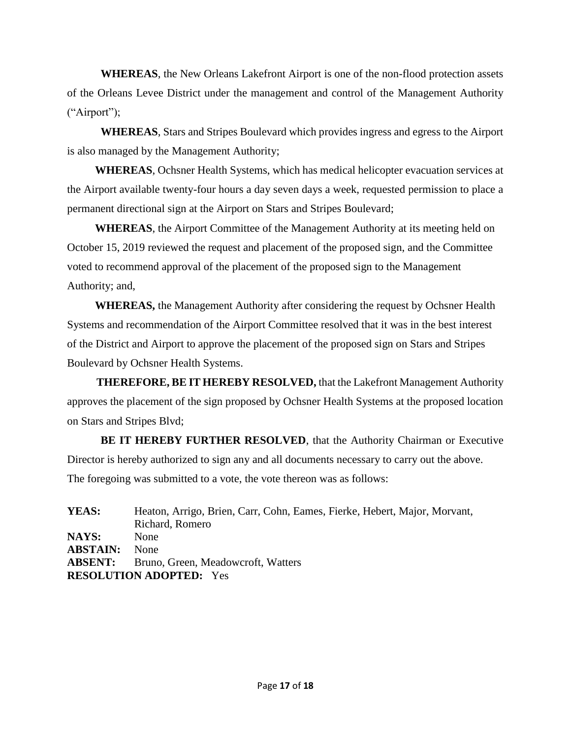**WHEREAS**, the New Orleans Lakefront Airport is one of the non-flood protection assets of the Orleans Levee District under the management and control of the Management Authority ("Airport");

**WHEREAS**, Stars and Stripes Boulevard which provides ingress and egress to the Airport is also managed by the Management Authority;

 **WHEREAS**, Ochsner Health Systems, which has medical helicopter evacuation services at the Airport available twenty-four hours a day seven days a week, requested permission to place a permanent directional sign at the Airport on Stars and Stripes Boulevard;

 **WHEREAS**, the Airport Committee of the Management Authority at its meeting held on October 15, 2019 reviewed the request and placement of the proposed sign, and the Committee voted to recommend approval of the placement of the proposed sign to the Management Authority; and,

 **WHEREAS,** the Management Authority after considering the request by Ochsner Health Systems and recommendation of the Airport Committee resolved that it was in the best interest of the District and Airport to approve the placement of the proposed sign on Stars and Stripes Boulevard by Ochsner Health Systems.

**THEREFORE, BE IT HEREBY RESOLVED,** that the Lakefront Management Authority approves the placement of the sign proposed by Ochsner Health Systems at the proposed location on Stars and Stripes Blvd;

**BE IT HEREBY FURTHER RESOLVED**, that the Authority Chairman or Executive Director is hereby authorized to sign any and all documents necessary to carry out the above. The foregoing was submitted to a vote, the vote thereon was as follows:

**YEAS:** Heaton, Arrigo, Brien, Carr, Cohn, Eames, Fierke, Hebert, Major, Morvant, Richard, Romero **NAYS:** None **ABSTAIN:** None **ABSENT:** Bruno, Green, Meadowcroft, Watters **RESOLUTION ADOPTED:** Yes